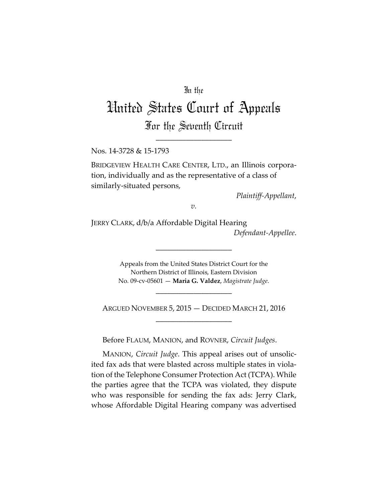## In the

# United States Court of Appeals For the Seventh Circuit

\_\_\_\_\_\_\_\_\_\_\_\_\_\_\_\_\_\_\_\_

Nos. 14-3728 & 15-1793

BRIDGEVIEW HEALTH CARE CENTER, LTD., an Illinois corporation, individually and as the representative of a class of similarly-situated persons,

*Plaintiff-Appellant*,

*v.*

JERRY CLARK, d/b/a Affordable Digital Hearing *Defendant-Appellee*.

> Appeals from the United States District Court for the Northern District of Illinois, Eastern Division No. 09-cv-05601 — **Maria G. Valdez**, *Magistrate Judge*.

> > \_\_\_\_\_\_\_\_\_\_\_\_\_\_\_\_\_\_\_\_

\_\_\_\_\_\_\_\_\_\_\_\_\_\_\_\_\_\_\_\_

ARGUED NOVEMBER 5, 2015 — DECIDED MARCH 21, 2016 \_\_\_\_\_\_\_\_\_\_\_\_\_\_\_\_\_\_\_\_

Before FLAUM, MANION, and ROVNER, *Circuit Judges*.

MANION, *Circuit Judge*. This appeal arises out of unsolicited fax ads that were blasted across multiple states in violation of the Telephone Consumer Protection Act (TCPA). While the parties agree that the TCPA was violated, they dispute who was responsible for sending the fax ads: Jerry Clark, whose Affordable Digital Hearing company was advertised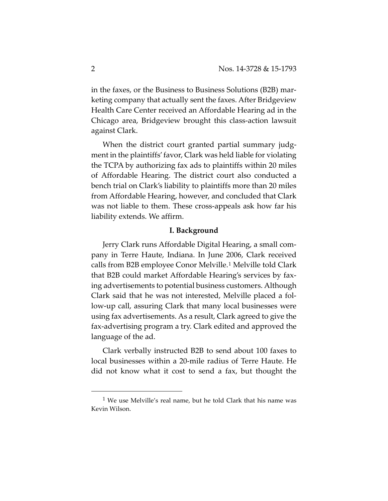in the faxes, or the Business to Business Solutions (B2B) marketing company that actually sent the faxes. After Bridgeview Health Care Center received an Affordable Hearing ad in the Chicago area, Bridgeview brought this class-action lawsuit against Clark.

When the district court granted partial summary judgment in the plaintiffs' favor, Clark was held liable for violating the TCPA by authorizing fax ads to plaintiffs within 20 miles of Affordable Hearing. The district court also conducted a bench trial on Clark's liability to plaintiffs more than 20 miles from Affordable Hearing, however, and concluded that Clark was not liable to them. These cross-appeals ask how far his liability extends. We affirm.

## **I. Background**

Jerry Clark runs Affordable Digital Hearing, a small company in Terre Haute, Indiana. In June 2006, Clark received calls from B2B employee Conor Melville.[1](#page-1-0) Melville told Clark that B2B could market Affordable Hearing's services by faxing advertisements to potential business customers. Although Clark said that he was not interested, Melville placed a follow-up call, assuring Clark that many local businesses were using fax advertisements. As a result, Clark agreed to give the fax-advertising program a try. Clark edited and approved the language of the ad.

Clark verbally instructed B2B to send about 100 faxes to local businesses within a 20-mile radius of Terre Haute. He did not know what it cost to send a fax, but thought the

<span id="page-1-0"></span> $1$  We use Melville's real name, but he told Clark that his name was Kevin Wilson.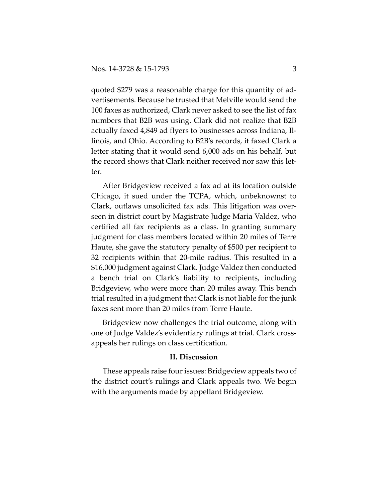quoted \$279 was a reasonable charge for this quantity of advertisements. Because he trusted that Melville would send the 100 faxes as authorized, Clark never asked to see the list of fax numbers that B2B was using. Clark did not realize that B2B actually faxed 4,849 ad flyers to businesses across Indiana, Illinois, and Ohio. According to B2B's records, it faxed Clark a letter stating that it would send 6,000 ads on his behalf, but the record shows that Clark neither received nor saw this letter.

After Bridgeview received a fax ad at its location outside Chicago, it sued under the TCPA, which, unbeknownst to Clark, outlaws unsolicited fax ads. This litigation was overseen in district court by Magistrate Judge Maria Valdez, who certified all fax recipients as a class. In granting summary judgment for class members located within 20 miles of Terre Haute, she gave the statutory penalty of \$500 per recipient to 32 recipients within that 20-mile radius. This resulted in a \$16,000 judgment against Clark. Judge Valdez then conducted a bench trial on Clark's liability to recipients, including Bridgeview, who were more than 20 miles away. This bench trial resulted in a judgment that Clark is not liable for the junk faxes sent more than 20 miles from Terre Haute.

Bridgeview now challenges the trial outcome, along with one of Judge Valdez's evidentiary rulings at trial. Clark crossappeals her rulings on class certification.

#### **II. Discussion**

These appeals raise four issues: Bridgeview appeals two of the district court's rulings and Clark appeals two. We begin with the arguments made by appellant Bridgeview.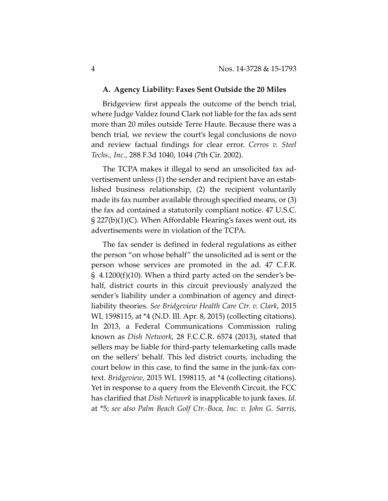#### **A. Agency Liability: Faxes Sent Outside the 20 Miles**

Bridgeview first appeals the outcome of the bench trial, where Judge Valdez found Clark not liable for the fax ads sent more than 20 miles outside Terre Haute. Because there was a bench trial, we review the court's legal conclusions de novo and review factual findings for clear error. *Cerros v. Steel Techs., Inc.*, 288 F.3d 1040, 1044 (7th Cir. 2002).

The TCPA makes it illegal to send an unsolicited fax advertisement unless (1) the sender and recipient have an established business relationship, (2) the recipient voluntarily made its fax number available through specified means, or (3) the fax ad contained a statutorily compliant notice. 47 U.S.C. § 227(b)(1)(C). When Affordable Hearing's faxes went out, its advertisements were in violation of the TCPA.

The fax sender is defined in federal regulations as either the person "on whose behalf" the unsolicited ad is sent or the person whose services are promoted in the ad. 47 C.F.R.  $\S$  4.1200(f)(10). When a third party acted on the sender's behalf, district courts in this circuit previously analyzed the sender's liability under a combination of agency and directliability theories. *See Bridgeview Health Care Ctr. v. Clark*, 2015 WL 1598115, at \*4 (N.D. Ill. Apr. 8, 2015) (collecting citations). In 2013, a Federal Communications Commission ruling known as *Dish Network*, 28 F.C.C.R. 6574 (2013), stated that sellers may be liable for third-party telemarketing calls made on the sellers' behalf. This led district courts, including the court below in this case, to find the same in the junk-fax context. *Bridgeview*, 2015 WL 1598115, at \*4 (collecting citations). Yet in response to a query from the Eleventh Circuit, the FCC has clarified that *Dish Network* is inapplicable to junk faxes. *Id.* at \*5; *see also Palm Beach Golf Ctr.-Boca, Inc. v. John G. Sarris,*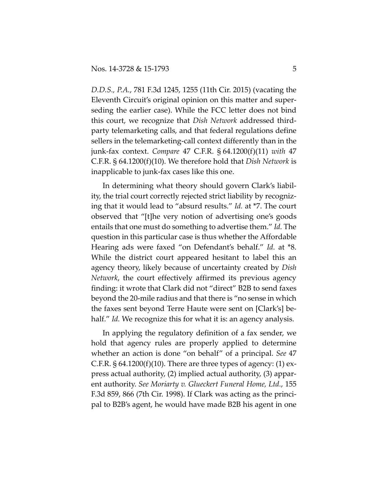*D.D.S., P.A.*, 781 F.3d 1245, 1255 (11th Cir. 2015) (vacating the Eleventh Circuit's original opinion on this matter and superseding the earlier case). While the FCC letter does not bind this court, we recognize that *Dish Network* addressed thirdparty telemarketing calls, and that federal regulations define sellers in the telemarketing-call context differently than in the junk-fax context. *Compare* 47 C.F.R. § 64.1200(f)(11) *with* 47 C.F.R. § 64.1200(f)(10). We therefore hold that *Dish Network* is inapplicable to junk-fax cases like this one.

In determining what theory should govern Clark's liability, the trial court correctly rejected strict liability by recognizing that it would lead to "absurd results." *Id.* at \*7. The court observed that "[t]he very notion of advertising one's goods entails that one must do something to advertise them." *Id.* The question in this particular case is thus whether the Affordable Hearing ads were faxed "on Defendant's behalf." *Id.* at \*8. While the district court appeared hesitant to label this an agency theory, likely because of uncertainty created by *Dish Network*, the court effectively affirmed its previous agency finding: it wrote that Clark did not "direct" B2B to send faxes beyond the 20-mile radius and that there is "no sense in which the faxes sent beyond Terre Haute were sent on [Clark's] behalf." *Id.* We recognize this for what it is: an agency analysis.

In applying the regulatory definition of a fax sender, we hold that agency rules are properly applied to determine whether an action is done "on behalf" of a principal. *See* 47 C.F.R.  $\S 64.1200(f)(10)$ . There are three types of agency: (1) express actual authority, (2) implied actual authority, (3) apparent authority. *See Moriarty v. Glueckert Funeral Home, Ltd.*, 155 F.3d 859, 866 (7th Cir. 1998). If Clark was acting as the principal to B2B's agent, he would have made B2B his agent in one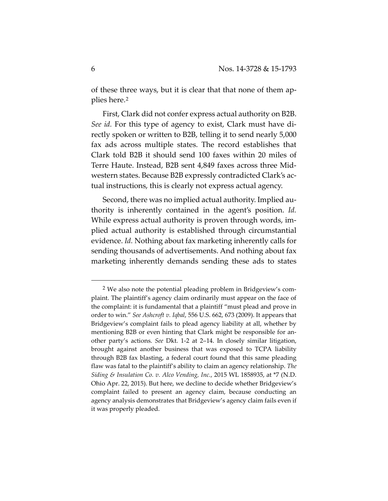of these three ways, but it is clear that that none of them applies here.[2](#page-5-0)

First, Clark did not confer express actual authority on B2B. *See id.* For this type of agency to exist, Clark must have directly spoken or written to B2B, telling it to send nearly 5,000 fax ads across multiple states. The record establishes that Clark told B2B it should send 100 faxes within 20 miles of Terre Haute. Instead, B2B sent 4,849 faxes across three Midwestern states. Because B2B expressly contradicted Clark's actual instructions, this is clearly not express actual agency.

Second, there was no implied actual authority. Implied authority is inherently contained in the agent's position. *Id.*  While express actual authority is proven through words, implied actual authority is established through circumstantial evidence. *Id.* Nothing about fax marketing inherently calls for sending thousands of advertisements. And nothing about fax marketing inherently demands sending these ads to states

 $\overline{a}$ 

<span id="page-5-0"></span><sup>2</sup> We also note the potential pleading problem in Bridgeview's complaint. The plaintiff's agency claim ordinarily must appear on the face of the complaint: it is fundamental that a plaintiff "must plead and prove in order to win." *See Ashcroft v. Iqbal*, 556 U.S. 662, 673 (2009). It appears that Bridgeview's complaint fails to plead agency liability at all, whether by mentioning B2B or even hinting that Clark might be responsible for another party's actions. *See* Dkt. 1-2 at 2–14. In closely similar litigation, brought against another business that was exposed to TCPA liability through B2B fax blasting, a federal court found that this same pleading flaw was fatal to the plaintiff's ability to claim an agency relationship. *The Siding & Insulation Co. v. Alco Vending, Inc.*, 2015 WL 1858935, at \*7 (N.D. Ohio Apr. 22, 2015). But here, we decline to decide whether Bridgeview's complaint failed to present an agency claim, because conducting an agency analysis demonstrates that Bridgeview's agency claim fails even if it was properly pleaded.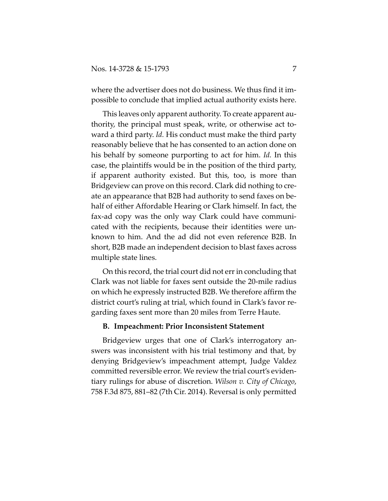where the advertiser does not do business. We thus find it impossible to conclude that implied actual authority exists here.

This leaves only apparent authority. To create apparent authority, the principal must speak, write, or otherwise act toward a third party. *Id.* His conduct must make the third party reasonably believe that he has consented to an action done on his behalf by someone purporting to act for him. *Id.* In this case, the plaintiffs would be in the position of the third party, if apparent authority existed. But this, too, is more than Bridgeview can prove on this record. Clark did nothing to create an appearance that B2B had authority to send faxes on behalf of either Affordable Hearing or Clark himself. In fact, the fax-ad copy was the only way Clark could have communicated with the recipients, because their identities were unknown to him. And the ad did not even reference B2B. In short, B2B made an independent decision to blast faxes across multiple state lines.

On this record, the trial court did not err in concluding that Clark was not liable for faxes sent outside the 20-mile radius on which he expressly instructed B2B. We therefore affirm the district court's ruling at trial, which found in Clark's favor regarding faxes sent more than 20 miles from Terre Haute.

### **B. Impeachment: Prior Inconsistent Statement**

Bridgeview urges that one of Clark's interrogatory answers was inconsistent with his trial testimony and that, by denying Bridgeview's impeachment attempt, Judge Valdez committed reversible error. We review the trial court's evidentiary rulings for abuse of discretion. *Wilson v. City of Chicago*, 758 F.3d 875, 881–82 (7th Cir. 2014). Reversal is only permitted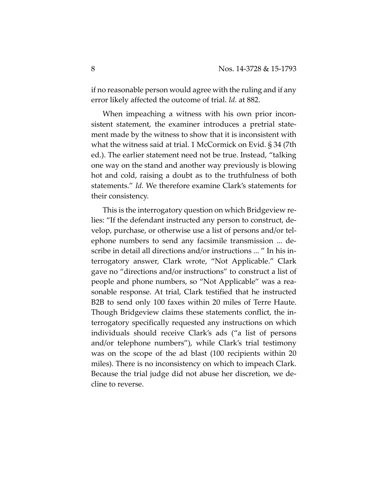if no reasonable person would agree with the ruling and if any error likely affected the outcome of trial. *Id.* at 882.

When impeaching a witness with his own prior inconsistent statement, the examiner introduces a pretrial statement made by the witness to show that it is inconsistent with what the witness said at trial. 1 McCormick on Evid. § 34 (7th ed.). The earlier statement need not be true. Instead, "talking one way on the stand and another way previously is blowing hot and cold, raising a doubt as to the truthfulness of both statements." *Id.* We therefore examine Clark's statements for their consistency.

This is the interrogatory question on which Bridgeview relies: "If the defendant instructed any person to construct, develop, purchase, or otherwise use a list of persons and/or telephone numbers to send any facsimile transmission ... describe in detail all directions and/or instructions ... " In his interrogatory answer, Clark wrote, "Not Applicable." Clark gave no "directions and/or instructions" to construct a list of people and phone numbers, so "Not Applicable" was a reasonable response. At trial, Clark testified that he instructed B2B to send only 100 faxes within 20 miles of Terre Haute. Though Bridgeview claims these statements conflict, the interrogatory specifically requested any instructions on which individuals should receive Clark's ads ("a list of persons and/or telephone numbers"), while Clark's trial testimony was on the scope of the ad blast (100 recipients within 20 miles). There is no inconsistency on which to impeach Clark. Because the trial judge did not abuse her discretion, we decline to reverse.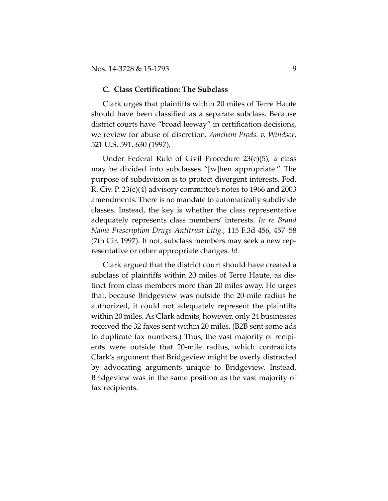#### **C. Class Certification: The Subclass**

Clark urges that plaintiffs within 20 miles of Terre Haute should have been classified as a separate subclass. Because district courts have "broad leeway" in certification decisions, we review for abuse of discretion. *Amchem Prods. v. Windsor*, 521 U.S. 591, 630 (1997).

Under Federal Rule of Civil Procedure 23(c)(5), a class may be divided into subclasses "[w]hen appropriate." The purpose of subdivision is to protect divergent interests. Fed. R. Civ. P. 23(c)(4) advisory committee's notes to 1966 and 2003 amendments. There is no mandate to automatically subdivide classes. Instead, the key is whether the class representative adequately represents class members' interests. *In re Brand Name Prescription Drugs Antitrust Litig.*, 115 F.3d 456, 457–58 (7th Cir. 1997). If not, subclass members may seek a new representative or other appropriate changes. *Id.*

Clark argued that the district court should have created a subclass of plaintiffs within 20 miles of Terre Haute, as distinct from class members more than 20 miles away. He urges that, because Bridgeview was outside the 20-mile radius he authorized, it could not adequately represent the plaintiffs within 20 miles. As Clark admits, however, only 24 businesses received the 32 faxes sent within 20 miles. (B2B sent some ads to duplicate fax numbers.) Thus, the vast majority of recipients were outside that 20-mile radius, which contradicts Clark's argument that Bridgeview might be overly distracted by advocating arguments unique to Bridgeview. Instead, Bridgeview was in the same position as the vast majority of fax recipients.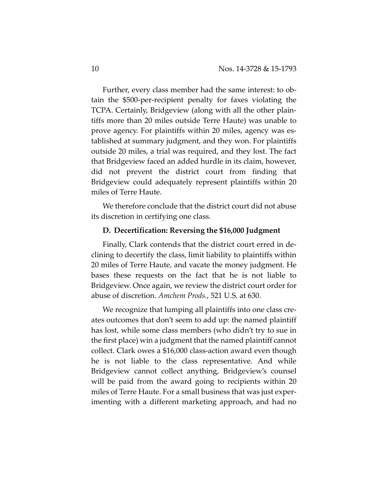Further, every class member had the same interest: to obtain the \$500-per-recipient penalty for faxes violating the TCPA. Certainly, Bridgeview (along with all the other plaintiffs more than 20 miles outside Terre Haute) was unable to prove agency. For plaintiffs within 20 miles, agency was established at summary judgment, and they won. For plaintiffs outside 20 miles, a trial was required, and they lost. The fact that Bridgeview faced an added hurdle in its claim, however, did not prevent the district court from finding that Bridgeview could adequately represent plaintiffs within 20 miles of Terre Haute.

We therefore conclude that the district court did not abuse its discretion in certifying one class.

### **D. Decertification: Reversing the \$16,000 Judgment**

Finally, Clark contends that the district court erred in declining to decertify the class, limit liability to plaintiffs within 20 miles of Terre Haute, and vacate the money judgment. He bases these requests on the fact that he is not liable to Bridgeview. Once again, we review the district court order for abuse of discretion. *Amchem Prods.*, 521 U.S. at 630.

We recognize that lumping all plaintiffs into one class creates outcomes that don't seem to add up: the named plaintiff has lost, while some class members (who didn't try to sue in the first place) win a judgment that the named plaintiff cannot collect. Clark owes a \$16,000 class-action award even though he is not liable to the class representative. And while Bridgeview cannot collect anything, Bridgeview's counsel will be paid from the award going to recipients within 20 miles of Terre Haute. For a small business that was just experimenting with a different marketing approach, and had no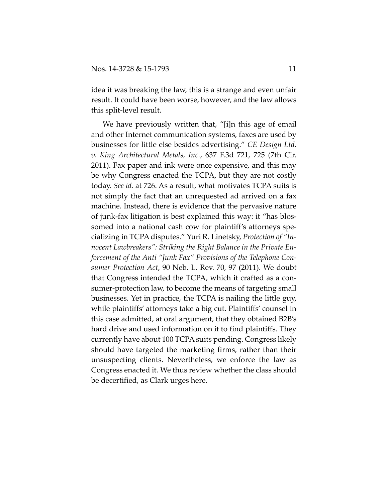idea it was breaking the law, this is a strange and even unfair result. It could have been worse, however, and the law allows this split-level result.

We have previously written that, "[i]n this age of email and other Internet communication systems, faxes are used by businesses for little else besides advertising." *CE Design Ltd. v. King Architectural Metals, Inc.*, 637 F.3d 721, 725 (7th Cir. 2011). Fax paper and ink were once expensive, and this may be why Congress enacted the TCPA, but they are not costly today. *See id.* at 726. As a result, what motivates TCPA suits is not simply the fact that an unrequested ad arrived on a fax machine. Instead, there is evidence that the pervasive nature of junk-fax litigation is best explained this way: it "has blossomed into a national cash cow for plaintiff's attorneys specializing in TCPA disputes." Yuri R. Linetsky, *Protection of "Innocent Lawbreakers": Striking the Right Balance in the Private Enforcement of the Anti "Junk Fax" Provisions of the Telephone Consumer Protection Act*, 90 Neb. L. Rev. 70, 97 (2011). We doubt that Congress intended the TCPA, which it crafted as a consumer-protection law, to become the means of targeting small businesses. Yet in practice, the TCPA is nailing the little guy, while plaintiffs' attorneys take a big cut. Plaintiffs' counsel in this case admitted, at oral argument, that they obtained B2B's hard drive and used information on it to find plaintiffs. They currently have about 100 TCPA suits pending. Congress likely should have targeted the marketing firms, rather than their unsuspecting clients. Nevertheless, we enforce the law as Congress enacted it. We thus review whether the class should be decertified, as Clark urges here.